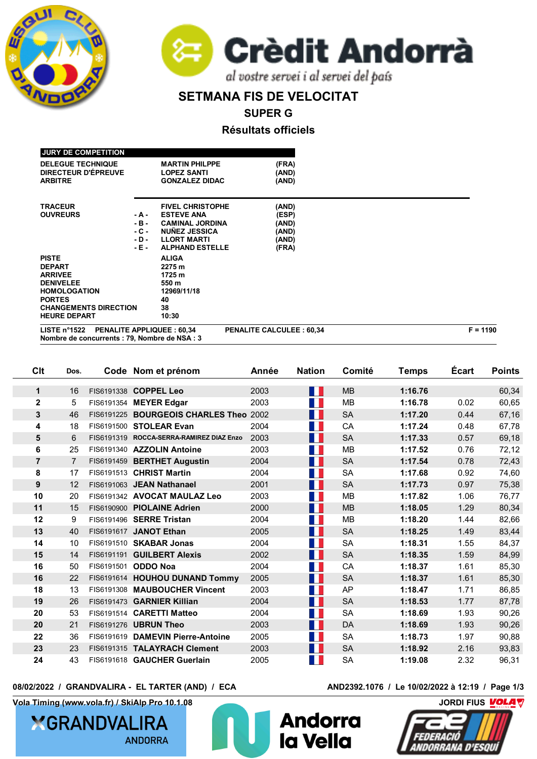



## **SETMANA FIS DE VELOCITAT**

**SUPER G**

**Résultats officiels**

| <b>JURY DE COMPETITION</b>                                             |                                  |                                 |  |
|------------------------------------------------------------------------|----------------------------------|---------------------------------|--|
| <b>DELEGUE TECHNIQUE</b>                                               | <b>MARTIN PHILPPE</b>            | (FRA)                           |  |
| DIRECTEUR D'ÉPREUVE                                                    | <b>LOPEZ SANTI</b>               | (AND)                           |  |
| <b>ARBITRE</b>                                                         | <b>GONZALEZ DIDAC</b>            | (AND)                           |  |
| <b>TRACEUR</b>                                                         | <b>FIVEL CHRISTOPHE</b>          | (AND)                           |  |
| <b>OUVREURS</b>                                                        | <b>ESTEVE ANA</b><br>- A -       | (ESP)                           |  |
|                                                                        | $-B -$<br><b>CAMINAL JORDINA</b> | (AND)                           |  |
|                                                                        | $-C -$<br><b>NUNEZ JESSICA</b>   | (AND)                           |  |
|                                                                        | <b>LLORT MARTI</b><br>- D -      | (AND)                           |  |
|                                                                        | <b>ALPHAND ESTELLE</b><br>- E -  | (FRA)                           |  |
| <b>PISTE</b>                                                           | <b>ALIGA</b>                     |                                 |  |
| <b>DEPART</b>                                                          | 2275 m                           |                                 |  |
| <b>ARRIVEE</b>                                                         | 1725 m                           |                                 |  |
| <b>DENIVELEE</b>                                                       | 550 m                            |                                 |  |
| <b>HOMOLOGATION</b>                                                    | 12969/11/18                      |                                 |  |
| <b>PORTES</b>                                                          | 40                               |                                 |  |
| <b>CHANGEMENTS DIRECTION</b>                                           | 38                               |                                 |  |
| <b>HEURE DEPART</b>                                                    | 10:30                            |                                 |  |
| LISTE $n^{\circ}1522$<br>Nombre de concurrents : 79, Nombre de NSA : 3 | <b>PENALITE APPLIQUEE: 60,34</b> | <b>PENALITE CALCULEE: 60,34</b> |  |

| Clt              | Dos.           | Code Nom et prénom                       | Année | <b>Nation</b>               | Comité    | <b>Temps</b> | <b>Ecart</b> | <b>Points</b> |
|------------------|----------------|------------------------------------------|-------|-----------------------------|-----------|--------------|--------------|---------------|
| $\mathbf 1$      | 16             | FIS6191338 COPPEL Leo                    | 2003  | H I                         | <b>MB</b> | 1:16.76      |              | 60,34         |
| $\boldsymbol{2}$ | 5              | FIS6191354 MEYER Edgar                   | 2003  | $\mathcal{A}^{\mathcal{A}}$ | <b>MB</b> | 1:16.78      | 0.02         | 60,65         |
| 3                | 46             | FIS6191225 BOURGEOIS CHARLES Theo 2002   |       | M.                          | <b>SA</b> | 1:17.20      | 0.44         | 67,16         |
| 4                | 18             | FIS6191500 STOLEAR Evan                  | 2004  | $\mathcal{O}(\mathbb{R}^d)$ | CA        | 1:17.24      | 0.48         | 67,78         |
|                  |                |                                          |       |                             |           |              |              |               |
| 5                | 6              | FIS6191319 ROCCA-SERRA-RAMIREZ DIAZ Enzo | 2003  | H I                         | <b>SA</b> | 1:17.33      | 0.57         | 69,18         |
| 6                | 25             | FIS6191340 AZZOLIN Antoine               | 2003  | M.                          | <b>MB</b> | 1:17.52      | 0.76         | 72,12         |
| $\overline{7}$   | $\overline{7}$ | FIS6191459 BERTHET Augustin              | 2004  | H.                          | <b>SA</b> | 1:17.54      | 0.78         | 72,43         |
| 8                | 17             | FIS6191513 CHRIST Martin                 | 2004  | M.                          | <b>SA</b> | 1:17.68      | 0.92         | 74,60         |
| 9                | 12             | FIS6191063 JEAN Nathanael                | 2001  | H.                          | <b>SA</b> | 1:17.73      | 0.97         | 75,38         |
| 10               | 20             | FIS6191342 AVOCAT MAULAZ Leo             | 2003  | a pr                        | <b>MB</b> | 1:17.82      | 1.06         | 76,77         |
| 11               | 15             | FIS6190900 PIOLAINE Adrien               | 2000  | M.                          | <b>MB</b> | 1:18.05      | 1.29         | 80,34         |
| 12               | 9              | FIS6191496 SERRE Tristan                 | 2004  | a pr                        | <b>MB</b> | 1:18.20      | 1.44         | 82,66         |
| 13               | 40             | FIS6191617 JANOT Ethan                   | 2005  | M.                          | <b>SA</b> | 1:18.25      | 1.49         | 83,44         |
| 14               | 10             | FIS6191510 SKABAR Jonas                  | 2004  | $\mathcal{A}^{\mathcal{A}}$ | <b>SA</b> | 1:18.31      | 1.55         | 84,37         |
| 15               | 14             | FIS6191191 GUILBERT Alexis               | 2002  | H.                          | <b>SA</b> | 1:18.35      | 1.59         | 84,99         |
| 16               | 50             | FIS6191501 ODDO Noa                      | 2004  | H.                          | CA        | 1:18.37      | 1.61         | 85,30         |
| 16               | 22             | FIS6191614 HOUHOU DUNAND Tommy           | 2005  | H.                          | <b>SA</b> | 1:18.37      | 1.61         | 85,30         |
| 18               | 13             | FIS6191308 MAUBOUCHER Vincent            | 2003  | $\mathcal{O}(\mathbb{R}^d)$ | AP        | 1:18.47      | 1.71         | 86,85         |
| 19               | 26             | FIS6191473 GARNIER Killian               | 2004  | $\sim 10$                   | <b>SA</b> | 1:18.53      | 1.77         | 87,78         |
| 20               | 53             | FIS6191514 CARETTI Matteo                | 2004  | H.                          | <b>SA</b> | 1:18.69      | 1.93         | 90,26         |
| 20               | 21             | FIS6191276 UBRUN Theo                    | 2003  | M.                          | <b>DA</b> | 1:18.69      | 1.93         | 90,26         |
| 22               | 36             | FIS6191619 DAMEVIN Pierre-Antoine        | 2005  | M.                          | <b>SA</b> | 1:18.73      | 1.97         | 90,88         |
| 23               | 23             | FIS6191315 TALAYRACH Clement             | 2003  | $\mathcal{O}(\mathbb{R}^d)$ | <b>SA</b> | 1:18.92      | 2.16         | 93,83         |
| 24               | 43             | FIS6191618 GAUCHER Guerlain              | 2005  |                             | <b>SA</b> | 1:19.08      | 2.32         | 96,31         |

**08/02/2022 / GRANDVALIRA - EL TARTER (AND) / ECA AND2392.1076 / Le 10/02/2022 à 12:19 / Page 1/3**

**Vola Timing (www.vola.fr) / SkiAlp Pro 10.1.08 CONDITED ASSESSMENT OF THE SKIALP OF THE SKIALP OF THE SKIALP OF THE SKIALP OF THE SKIALP OF THE SKIALP OF THE SKIALP OF THE SKIALP OF THE SKIALP OF THE SKIALP OF THE SKIAL** 

**XGRANDVALIRA ANDORRA** 



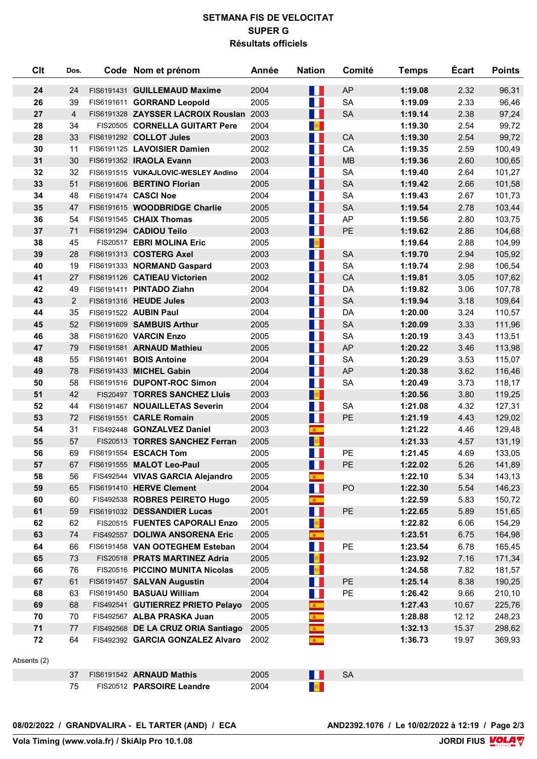## **SETMANA FIS DE VELOCITAT SUPER G Résultats officiels**

| Clt  | Dos.           | Code Nom et prénom                      | Année | <b>Nation</b>                      | Comité    | <b>Temps</b> | <b>Écart</b> | <b>Points</b> |
|------|----------------|-----------------------------------------|-------|------------------------------------|-----------|--------------|--------------|---------------|
| 24   | 24             | FIS6191431 GUILLEMAUD Maxime            | 2004  | <b>Mar</b>                         | <b>AP</b> | 1:19.08      | 2.32         | 96,31         |
| 26   | 39             | FIS6191611 GORRAND Leopold              | 2005  | a pr                               | <b>SA</b> | 1:19.09      | 2.33         | 96,46         |
| 27   | $\overline{4}$ | FIS6191328 ZAYSSER LACROIX Rouslan 2003 |       | H                                  | <b>SA</b> | 1:19.14      | 2.38         | 97,24         |
| 28   | 34             | FIS20505 CORNELLA GUITART Pere          | 2004  | $\mathbb{R}^n$                     |           | 1:19.30      | 2.54         | 99,72         |
| 28   | 33             | FIS6191292 COLLOT Jules                 | 2003  | $\blacksquare$                     | CA        | 1:19.30      | 2.54         | 99,72         |
| 30   | 11             | FIS6191125 LAVOISIER Damien             | 2002  | M.                                 | CA        | 1:19.35      | 2.59         | 100,49        |
| 31   | 30             | FIS6191352 IRAOLA Evann                 | 2003  | H                                  | <b>MB</b> | 1:19.36      | 2.60         | 100,65        |
| 32   | 32             | FIS6191515 VUKAJLOVIC-WESLEY Andino     | 2004  | <b>TER</b>                         | <b>SA</b> | 1:19.40      | 2.64         | 101,27        |
| 33   | 51             | FIS6191606 BERTINO Florian              | 2005  | H I                                | <b>SA</b> | 1:19.42      | 2.66         | 101,58        |
| 34   | 48             | FIS6191474 CASCI Noe                    | 2004  | a ka                               | <b>SA</b> | 1:19.43      | 2.67         | 101,73        |
| 35   | 47             | FIS6191615 WOODBRIDGE Charlie           | 2005  | $\blacksquare$                     | <b>SA</b> | 1:19.54      | 2.78         | 103,44        |
| 36   | 54             | FIS6191545 CHAIX Thomas                 | 2005  | M.                                 | AP        | 1:19.56      | 2.80         | 103,75        |
| 37   | 71             | FIS6191294 CADIOU Teilo                 | 2003  | H                                  | PE        | 1:19.62      | 2.86         | 104,68        |
| 38   | 45             | FIS20517 EBRI MOLINA Eric               | 2005  | $\mathbb{R}^n$                     |           | 1:19.64      | 2.88         | 104,99        |
| 39   | 28             | FIS6191313 COSTERG Axel                 | 2003  | $\blacksquare$                     | <b>SA</b> | 1:19.70      | 2.94         | 105,92        |
| 40   | 19             | FIS6191333 NORMAND Gaspard              | 2003  | a ka                               | <b>SA</b> | 1:19.74      | 2.98         | 106,54        |
| 41   | 27             | FIS6191126 CATIEAU Victorien            | 2002  | H                                  | CA        | 1:19.81      | 3.05         | 107,62        |
| 42   | 49             | FIS6191411 PINTADO Ziahn                | 2004  | <b>TER</b>                         | DA        | 1:19.82      | 3.06         | 107,78        |
| 43   | $\overline{2}$ | FIS6191316 HEUDE Jules                  | 2003  | H I                                | <b>SA</b> | 1:19.94      | 3.18         | 109,64        |
| 44   | 35             | FIS6191522 AUBIN Paul                   | 2004  | M.                                 | DA        | 1:20.00      | 3.24         | 110,57        |
| 45   | 52             | FIS6191609 SAMBUIS Arthur               | 2005  | $\blacksquare$                     | <b>SA</b> | 1:20.09      | 3.33         | 111,96        |
| 46   | 38             | FIS6191620 VARCIN Enzo                  | 2005  | a ka                               | <b>SA</b> | 1:20.19      | 3.43         | 113,51        |
| 47   | 79             | FIS6191581 ARNAUD Mathieu               | 2005  | $\blacksquare$                     | AP        | 1:20.22      | 3.46         | 113,98        |
| 48   | 55             | FIS6191461 BOIS Antoine                 | 2004  | M.                                 | <b>SA</b> | 1:20.29      | 3.53         | 115,07        |
| 49   | 78             | FIS6191433 MICHEL Gabin                 | 2004  | H I                                | <b>AP</b> | 1:20.38      | 3.62         | 116,46        |
| 50   | 58             | FIS6191516 DUPONT-ROC Simon             | 2004  | <b>TER</b>                         | <b>SA</b> | 1:20.49      | 3.73         | 118,17        |
| 51   | 42             | FIS20497 TORRES SANCHEZ Lluis           | 2003  | a <mark>se</mark>                  |           | 1:20.56      | 3.80         | 119,25        |
| 52   | 44             | FIS6191467 NOUAILLETAS Severin          | 2004  | a ka                               | <b>SA</b> | 1:21.08      | 4.32         | 127,31        |
| 53   | 72             | FIS6191551 CARLE Romain                 | 2005  | H                                  | PE        | 1:21.19      | 4.43         | 129,02        |
| 54   | 31             | FIS492448 GONZALVEZ Daniel              | 2003  | $\mathbf{R}_{\perp}$               |           | 1:21.22      | 4.46         | 129,48        |
| 55   | 57             | FIS20513 TORRES SANCHEZ Ferran          | 2005  | <b>B</b>                           |           | 1:21.33      | 4.57         | 131,19        |
| 56   | 69             | FIS6191554 ESCACH Tom                   | 2005  | a ka                               | PE        | 1:21.45      | 4.69         | 133,05        |
| 57   | 67             | FIS6191555 MALOT Leo-Paul               | 2005  | II.                                | PE        | 1:22.02      | 5.26         | 141,89        |
| 58   | 56             | FIS492544 VIVAS GARCIA Alejandro        | 2005  | $\mathbf{A}$                       |           | 1:22.10      | 5.34         | 143,13        |
| 59   | 65             | FIS6191410 HERVE Clement                | 2004  | <b>TI</b>                          | PO        | 1:22.30      | 5.54         | 146,23        |
| 60   | 60             | FIS492538 ROBRES PEIRETO Hugo           | 2005  | $\mathcal{R}_{\mathrm{max}}$       |           | 1:22.59      | 5.83         | 150,72        |
| 61   | 59             | FIS6191032 DESSANDIER Lucas             | 2001  | H.                                 | PE        | 1:22.65      | 5.89         | 151,65        |
| 62   | 62             | FIS20515 FUENTES CAPORALI Enzo          | 2005  | <b>B</b>                           |           | 1:22.82      | 6.06         | 154,29        |
| 63   | 74             | FIS492557 DOLIWA ANSORENA Eric          | 2005  | $\mathcal{R}^{\pm}$                |           | 1:23.51      | 6.75         | 164,98        |
| 64   | 66             | FIS6191458 VAN OOTEGHEM Esteban         | 2004  | <b>TER</b>                         | PE        | 1:23.54      | 6.78         | 165,45        |
| 65   | 73             | FIS20518 PRATS MARTINEZ Adria           | 2005  | <b>R</b>                           |           | 1:23.92      | 7.16         | 171,34        |
| 66   | 76             | FIS20516 PICCINO MUNITA Nicolas         | 2005  | <b>B</b>                           |           | 1:24.58      | 7.82         | 181,57        |
| 67   | 61             | FIS6191457 SALVAN Augustin              | 2004  | H.                                 | PE        | 1:25.14      | 8.38         | 190,25        |
| 68   | 63             | FIS6191450 BASUAU William               | 2004  | <b>The State</b>                   | PE        | 1:26.42      | 9.66         | 210,10        |
| 69   | 68             | FIS492541 GUTIERREZ PRIETO Pelayo       | 2005  | $\bullet$                          |           | 1:27.43      | 10.67        | 225,76        |
| 70   | 70             | FIS492567 ALBA PRASKA Juan              | 2005  | $\frac{1}{\mathcal{R}_\text{max}}$ |           | 1:28.88      | 12.12        | 248,23        |
| $71$ | 77             | FIS492568 DE LA CRUZ ORIA Santiago      | 2005  | $\mathcal{R}^{\pm}$                |           | 1:32.13      | 15.37        | 298,62        |
| 72   | 64             | FIS492392 GARCIA GONZALEZ Alvaro        | 2002  | $\mathcal{R}^{\pm}$                |           | 1:36.73      | 19.97        | 369,93        |

## Absents (2)

|       | FIS6191542 ARNAUD Mathis  | 2005 | ΟА |
|-------|---------------------------|------|----|
| $- -$ | FIS20512 PARSOIRE Leandre | 2004 |    |